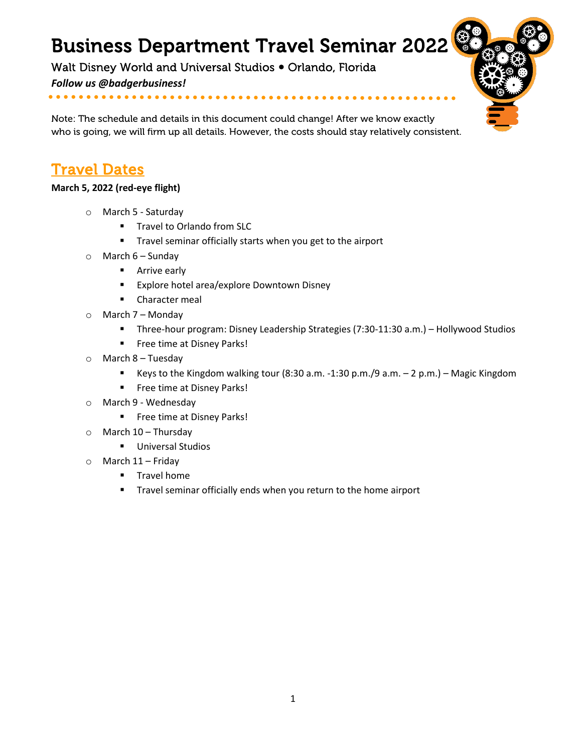# Business Department Travel Seminar 2022

Walt Disney World and Universal Studios . Orlando, Florida

*Follow us @badgerbusiness!*

Note: The schedule and details in this document could change! After we know exactly who is going, we will firm up all details. However, the costs should stay relatively consistent.

## Travel Dates

#### **March 5, 2022 (red-eye flight)**

- o March 5 Saturday
	- **Travel to Orlando from SLC**
	- **Travel seminar officially starts when you get to the airport**
- $\circ$  March 6 Sunday
	- **Arrive early**
	- **Explore hotel area/explore Downtown Disney**
	- **E** Character meal
- $\circ$  March 7 Monday
	- Three-hour program: Disney Leadership Strategies (7:30-11:30 a.m.) Hollywood Studios
	- **Filter** Free time at Disney Parks!
- $\circ$  March 8 Tuesday
	- Keys to the Kingdom walking tour (8:30 a.m. -1:30 p.m./9 a.m.  $-$  2 p.m.) Magic Kingdom
	- **Filter** Free time at Disney Parks!
- o March 9 Wednesday
	- **Filter** Free time at Disney Parks!
- $\circ$  March 10 Thursday
	- **Universal Studios**
- o March 11 Friday
	- **Travel home**
	- **Travel seminar officially ends when you return to the home airport**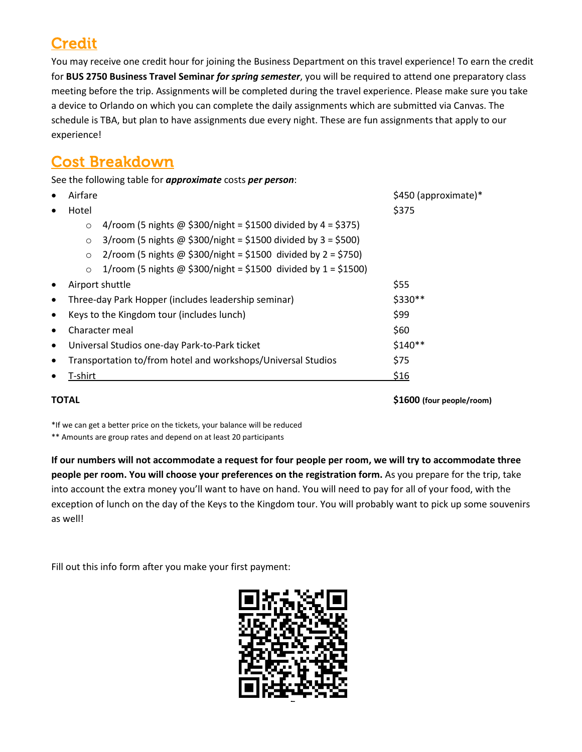# **Credit**

You may receive one credit hour for joining the Business Department on this travel experience! To earn the credit for **BUS 2750 Business Travel Seminar** *for spring semester*, you will be required to attend one preparatory class meeting before the trip. Assignments will be completed during the travel experience. Please make sure you take a device to Orlando on which you can complete the daily assignments which are submitted via Canvas. The schedule is TBA, but plan to have assignments due every night. These are fun assignments that apply to our experience!

### Cost Breakdown

See the following table for *approximate* costs *per person*:

| <b>TOTAL</b>                                                                | \$1600 (four people/room) |
|-----------------------------------------------------------------------------|---------------------------|
| T-shirt                                                                     | \$16                      |
| Transportation to/from hotel and workshops/Universal Studios                | \$75                      |
| Universal Studios one-day Park-to-Park ticket                               | $$140**$                  |
| Character meal                                                              | \$60                      |
| Keys to the Kingdom tour (includes lunch)                                   | \$99                      |
| Three-day Park Hopper (includes leadership seminar)                         | \$330**                   |
| Airport shuttle                                                             | \$55                      |
| 1/room (5 nights @ \$300/night = \$1500 divided by $1 = $1500$ )<br>$\circ$ |                           |
| 2/room (5 nights @ \$300/night = \$1500 divided by $2 = $750$ )<br>$\circ$  |                           |
| $3$ /room (5 nights @ \$300/night = \$1500 divided by 3 = \$500)<br>$\circ$ |                           |
| 4/room (5 nights @ \$300/night = \$1500 divided by $4 = $375$ )<br>$\circ$  |                           |
| Hotel                                                                       | \$375                     |
| Airfare                                                                     | \$450 (approximate)*      |
|                                                                             |                           |

\*If we can get a better price on the tickets, your balance will be reduced

\*\* Amounts are group rates and depend on at least 20 participants

**If our numbers will not accommodate a request for four people per room, we will try to accommodate three people per room. You will choose your preferences on the registration form.** As you prepare for the trip, take into account the extra money you'll want to have on hand. You will need to pay for all of your food, with the exception of lunch on the day of the Keys to the Kingdom tour. You will probably want to pick up some souvenirs as well!

Fill out this info form after you make your first payment:

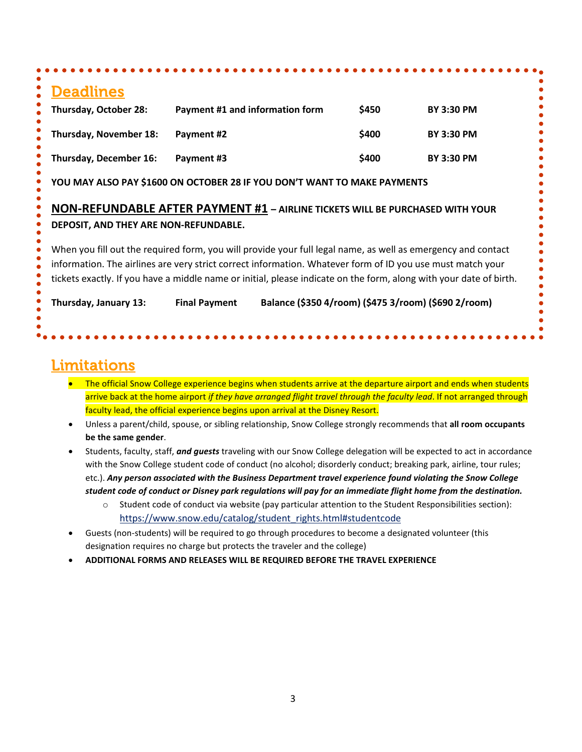| <b>Deadlines</b>                      |                                                                                                                                                                                                                                                                                                                                                  |       |                   |
|---------------------------------------|--------------------------------------------------------------------------------------------------------------------------------------------------------------------------------------------------------------------------------------------------------------------------------------------------------------------------------------------------|-------|-------------------|
| Thursday, October 28:                 | Payment #1 and information form                                                                                                                                                                                                                                                                                                                  | \$450 | <b>BY 3:30 PM</b> |
| <b>Thursday, November 18:</b>         | Payment #2                                                                                                                                                                                                                                                                                                                                       | \$400 | <b>BY 3:30 PM</b> |
| Thursday, December 16:                | Payment #3                                                                                                                                                                                                                                                                                                                                       | \$400 | <b>BY 3:30 PM</b> |
|                                       | YOU MAY ALSO PAY \$1600 ON OCTOBER 28 IF YOU DON'T WANT TO MAKE PAYMENTS                                                                                                                                                                                                                                                                         |       |                   |
|                                       | <b>NON-REFUNDABLE AFTER PAYMENT #1 - AIRLINE TICKETS WILL BE PURCHASED WITH YOUR</b>                                                                                                                                                                                                                                                             |       |                   |
|                                       |                                                                                                                                                                                                                                                                                                                                                  |       |                   |
| DEPOSIT, AND THEY ARE NON-REFUNDABLE. |                                                                                                                                                                                                                                                                                                                                                  |       |                   |
|                                       | When you fill out the required form, you will provide your full legal name, as well as emergency and contact<br>information. The airlines are very strict correct information. Whatever form of ID you use must match your<br>tickets exactly. If you have a middle name or initial, please indicate on the form, along with your date of birth. |       |                   |

### Limitations

- The official Snow College experience begins when students arrive at the departure airport and ends when students arrive back at the home airport *if they have arranged flight travel through the faculty lead*. If not arranged through faculty lead, the official experience begins upon arrival at the Disney Resort.
- Unless a parent/child, spouse, or sibling relationship, Snow College strongly recommends that **all room occupants be the same gender**.
- Students, faculty, staff, *and guests* traveling with our Snow College delegation will be expected to act in accordance with the Snow College student code of conduct (no alcohol; disorderly conduct; breaking park, airline, tour rules; etc.). *Any person associated with the Business Department travel experience found violating the Snow College student code of conduct or Disney park regulations will pay for an immediate flight home from the destination.*
	- o Student code of conduct via website (pay particular attention to the Student Responsibilities section): [https://www.snow.edu/catalog/student\\_rights.html#studentcode](https://www.snow.edu/catalog/student_rights.html#studentcode)
- Guests (non-students) will be required to go through procedures to become a designated volunteer (this designation requires no charge but protects the traveler and the college)
- **ADDITIONAL FORMS AND RELEASES WILL BE REQUIRED BEFORE THE TRAVEL EXPERIENCE**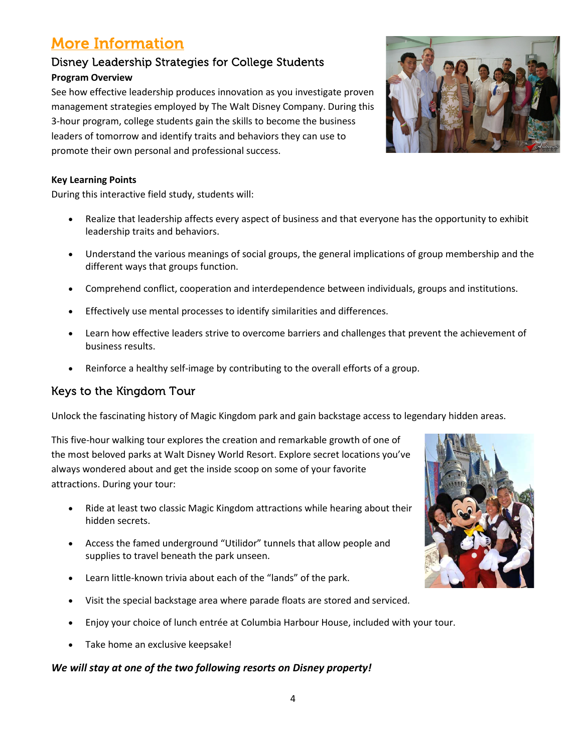4

### More Information

### Disney Leadership Strategies for College Students **Program Overview**

See how effective leadership produces innovation as you investigate proven management strategies employed by The Walt Disney Company. During this 3-hour program, college students gain the skills to become the business leaders of tomorrow and identify traits and behaviors they can use to promote their own personal and professional success.

#### **Key Learning Points**

During this interactive field study, students will:

- Realize that leadership affects every aspect of business and that everyone has the opportunity to exhibit leadership traits and behaviors.
- Understand the various meanings of social groups, the general implications of group membership and the different ways that groups function.
- Comprehend conflict, cooperation and interdependence between individuals, groups and institutions.
- Effectively use mental processes to identify similarities and differences.
- Learn how effective leaders strive to overcome barriers and challenges that prevent the achievement of business results.
- Reinforce a healthy self-image by contributing to the overall efforts of a group.

### Keys to the Kingdom Tour

Unlock the fascinating history of Magic Kingdom park and gain backstage access to legendary hidden areas.

This five-hour walking tour explores the creation and remarkable growth of one of the most beloved parks at Walt Disney World Resort. Explore secret locations you've always wondered about and get the inside scoop on some of your favorite attractions. During your tour:

- Ride at least two classic Magic Kingdom attractions while hearing about their hidden secrets.
- Access the famed underground "Utilidor" tunnels that allow people and supplies to travel beneath the park unseen.
- Learn little-known trivia about each of the "lands" of the park.
- Visit the special backstage area where parade floats are stored and serviced.
- Enjoy your choice of lunch entrée at Columbia Harbour House, included with your tour.
- Take home an exclusive keepsake!

#### *We will stay at one of the two following resorts on Disney property!*